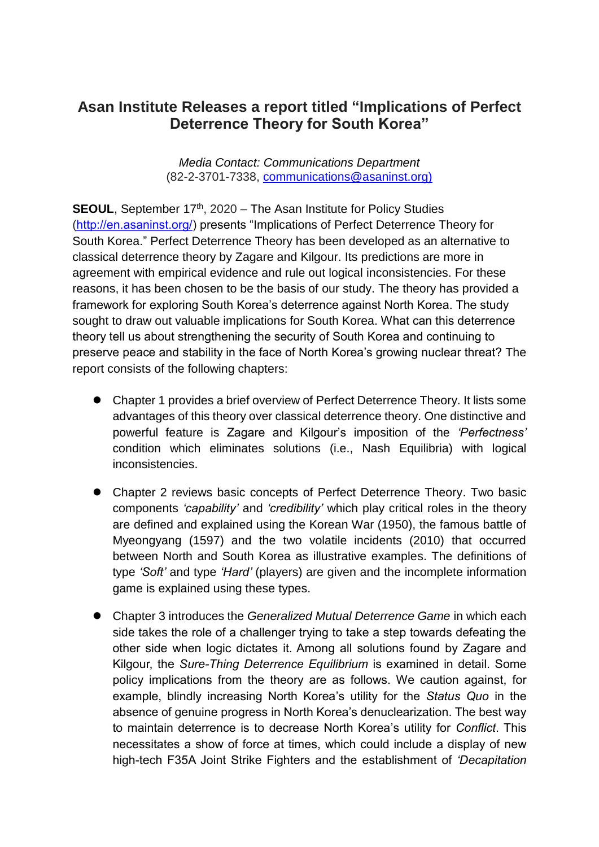## **Asan Institute Releases a report titled "Implications of Perfect Deterrence Theory for South Korea"**

*Media Contact: Communications Department* (82-2-3701-7338, [communications@asaninst.org\)](mailto:communications@asaninst.org)

**SEOUL**, September 17<sup>th</sup>, 2020 – The Asan Institute for Policy Studies [\(http://en.asaninst.org/\)](http://en.asaninst.org/) presents "Implications of Perfect Deterrence Theory for South Korea." Perfect Deterrence Theory has been developed as an alternative to classical deterrence theory by Zagare and Kilgour. Its predictions are more in agreement with empirical evidence and rule out logical inconsistencies. For these reasons, it has been chosen to be the basis of our study. The theory has provided a framework for exploring South Korea's deterrence against North Korea. The study sought to draw out valuable implications for South Korea. What can this deterrence theory tell us about strengthening the security of South Korea and continuing to preserve peace and stability in the face of North Korea's growing nuclear threat? The report consists of the following chapters:

- Chapter 1 provides a brief overview of Perfect Deterrence Theory. It lists some advantages of this theory over classical deterrence theory. One distinctive and powerful feature is Zagare and Kilgour's imposition of the *'Perfectness'* condition which eliminates solutions (i.e., Nash Equilibria) with logical inconsistencies.
- Chapter 2 reviews basic concepts of Perfect Deterrence Theory. Two basic components *'capability'* and *'credibility'* which play critical roles in the theory are defined and explained using the Korean War (1950), the famous battle of Myeongyang (1597) and the two volatile incidents (2010) that occurred between North and South Korea as illustrative examples. The definitions of type *'Soft'* and type *'Hard'* (players) are given and the incomplete information game is explained using these types.
- Chapter 3 introduces the *Generalized Mutual Deterrence Game* in which each side takes the role of a challenger trying to take a step towards defeating the other side when logic dictates it. Among all solutions found by Zagare and Kilgour, the *Sure-Thing Deterrence Equilibrium* is examined in detail. Some policy implications from the theory are as follows. We caution against, for example, blindly increasing North Korea's utility for the *Status Quo* in the absence of genuine progress in North Korea's denuclearization. The best way to maintain deterrence is to decrease North Korea's utility for *Conflict*. This necessitates a show of force at times, which could include a display of new high-tech F35A Joint Strike Fighters and the establishment of *'Decapitation*